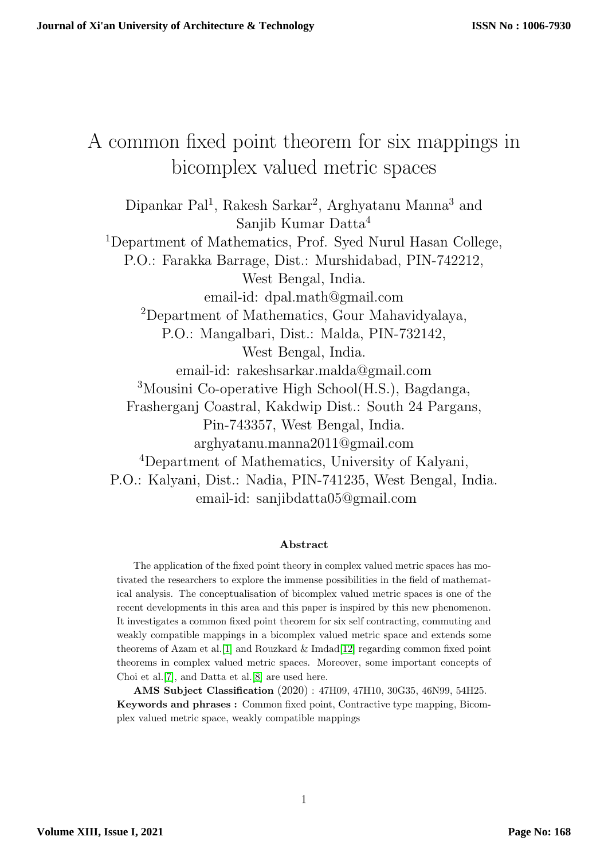# A common fixed point theorem for six mappings in bicomplex valued metric spaces

Dipankar Pal<sup>1</sup>, Rakesh Sarkar<sup>2</sup>, Arghyatanu Manna<sup>3</sup> and Sanjib Kumar Datta<sup>4</sup> <sup>1</sup>Department of Mathematics, Prof. Syed Nurul Hasan College, P.O.: Farakka Barrage, Dist.: Murshidabad, PIN-742212, West Bengal, India. email-id: dpal.math@gmail.com <sup>2</sup>Department of Mathematics, Gour Mahavidyalaya, P.O.: Mangalbari, Dist.: Malda, PIN-732142, West Bengal, India. email-id: rakeshsarkar.malda@gmail.com <sup>3</sup>Mousini Co-operative High School(H.S.), Bagdanga, Frasherganj Coastral, Kakdwip Dist.: South 24 Pargans, Pin-743357, West Bengal, India. arghyatanu.manna2011@gmail.com <sup>4</sup>Department of Mathematics, University of Kalyani, P.O.: Kalyani, Dist.: Nadia, PIN-741235, West Bengal, India. email-id: sanjibdatta05@gmail.com

#### Abstract

The application of the fixed point theory in complex valued metric spaces has motivated the researchers to explore the immense possibilities in the field of mathematical analysis. The conceptualisation of bicomplex valued metric spaces is one of the recent developments in this area and this paper is inspired by this new phenomenon. It investigates a common fixed point theorem for six self contracting, commuting and weakly compatible mappings in a bicomplex valued metric space and extends some theorems of Azam et al. [\[1\]](#page-7-0) and Rouzkard  $\&$  Imdad[\[12\]](#page-8-0) regarding common fixed point theorems in complex valued metric spaces. Moreover, some important concepts of Choi et al.[\[7\]](#page-8-1), and Datta et al.[\[8\]](#page-8-2) are used here.

AMS Subject Classification (2020) : 47H09, 47H10, 30G35, 46N99, 54H25. Keywords and phrases : Common fixed point, Contractive type mapping, Bicomplex valued metric space, weakly compatible mappings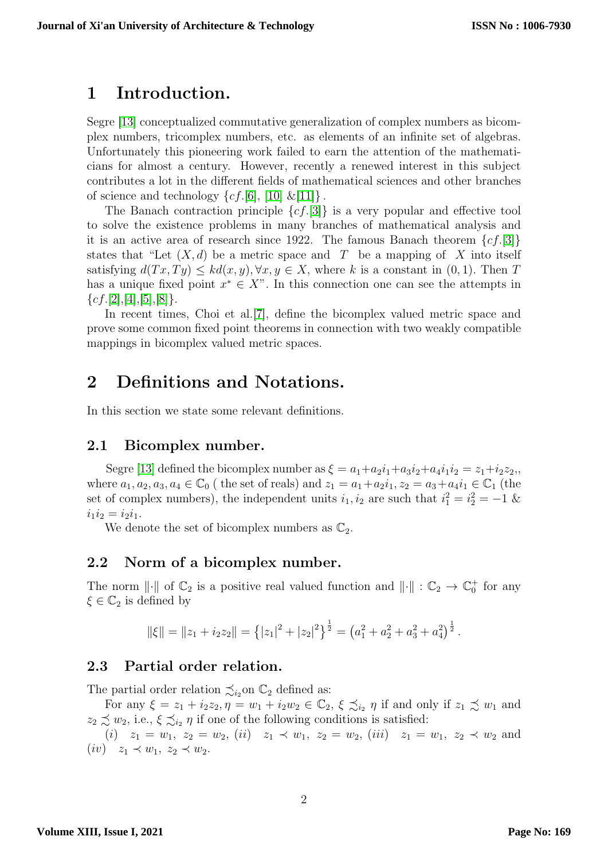### 1 Introduction.

Segre [\[13\]](#page-8-3) conceptualized commutative generalization of complex numbers as bicomplex numbers, tricomplex numbers, etc. as elements of an infinite set of algebras. Unfortunately this pioneering work failed to earn the attention of the mathematicians for almost a century. However, recently a renewed interest in this subject contributes a lot in the different fields of mathematical sciences and other branches of science and technology  $\{cf.[6], [10] \& [11] \}.$  $\{cf.[6], [10] \& [11] \}.$  $\{cf.[6], [10] \& [11] \}.$  $\{cf.[6], [10] \& [11] \}.$  $\{cf.[6], [10] \& [11] \}.$  $\{cf.[6], [10] \& [11] \}.$  $\{cf.[6], [10] \& [11] \}.$ 

The Banach contraction principle  $\{cf. [3]\}$  $\{cf. [3]\}$  $\{cf. [3]\}$  is a very popular and effective tool to solve the existence problems in many branches of mathematical analysis and it is an active area of research since 1922. The famous Banach theorem  $\{cf. [3]\}$  $\{cf. [3]\}$  $\{cf. [3]\}$ states that "Let  $(X, d)$  be a metric space and T be a mapping of X into itself satisfying  $d(Tx, Ty) \leq kd(x, y), \forall x, y \in X$ , where k is a constant in  $(0, 1)$ . Then T has a unique fixed point  $x^* \in X$ ". In this connection one can see the attempts in  ${cf.}[2],[4],[5],[8].$  ${cf.}[2],[4],[5],[8].$  ${cf.}[2],[4],[5],[8].$  ${cf.}[2],[4],[5],[8].$  ${cf.}[2],[4],[5],[8].$  ${cf.}[2],[4],[5],[8].$  ${cf.}[2],[4],[5],[8].$  ${cf.}[2],[4],[5],[8].$  ${cf.}[2],[4],[5],[8].$ 

In recent times, Choi et al.<sup>[\[7\]](#page-8-1)</sup>, define the bicomplex valued metric space and prove some common fixed point theorems in connection with two weakly compatible mappings in bicomplex valued metric spaces.

## 2 Definitions and Notations.

In this section we state some relevant definitions.

#### 2.1 Bicomplex number.

Segre [\[13\]](#page-8-3) defined the bicomplex number as  $\xi = a_1 + a_2 i_1 + a_3 i_2 + a_4 i_1 i_2 = z_1 + i_2 z_2$ , where  $a_1, a_2, a_3, a_4 \in \mathbb{C}_0$  (the set of reals) and  $z_1 = a_1 + a_2i_1, z_2 = a_3 + a_4i_1 \in \mathbb{C}_1$  (the set of complex numbers), the independent units  $i_1, i_2$  are such that  $i_1^2 = i_2^2 = -1$  &  $i_1i_2 = i_2i_1.$ 

We denote the set of bicomplex numbers as  $\mathbb{C}_2$ .

#### 2.2 Norm of a bicomplex number.

The norm  $\|\cdot\|$  of  $\mathbb{C}_2$  is a positive real valued function and  $\|\cdot\| : \mathbb{C}_2 \to \mathbb{C}_0^+$  for any  $\xi \in \mathbb{C}_2$  is defined by

$$
\|\xi\| = \|z_1 + i_2 z_2\| = \left\{|z_1|^2 + |z_2|^2\right\}^{\frac{1}{2}} = \left(a_1^2 + a_2^2 + a_3^2 + a_4^2\right)^{\frac{1}{2}}.
$$

#### 2.3 Partial order relation.

The partial order relation  $\precsim_{i_2}$  on  $\mathbb{C}_2$  defined as:

For any  $\xi = z_1 + i_2 z_2, \eta = w_1 + i_2 w_2 \in \mathbb{C}_2$ ,  $\xi \precsim_{i_2} \eta$  if and only if  $z_1 \precsim w_1$  and  $z_2 \precsim w_2$ , i.e.,  $\xi \precsim_{i_2} \eta$  if one of the following conditions is satisfied:

(i)  $z_1 = w_1, z_2 = w_2, (ii) z_1 \prec w_1, z_2 = w_2, (iii) z_1 = w_1, z_2 \prec w_2$  and  $(iv)$   $z_1 \prec w_1, z_2 \prec w_2.$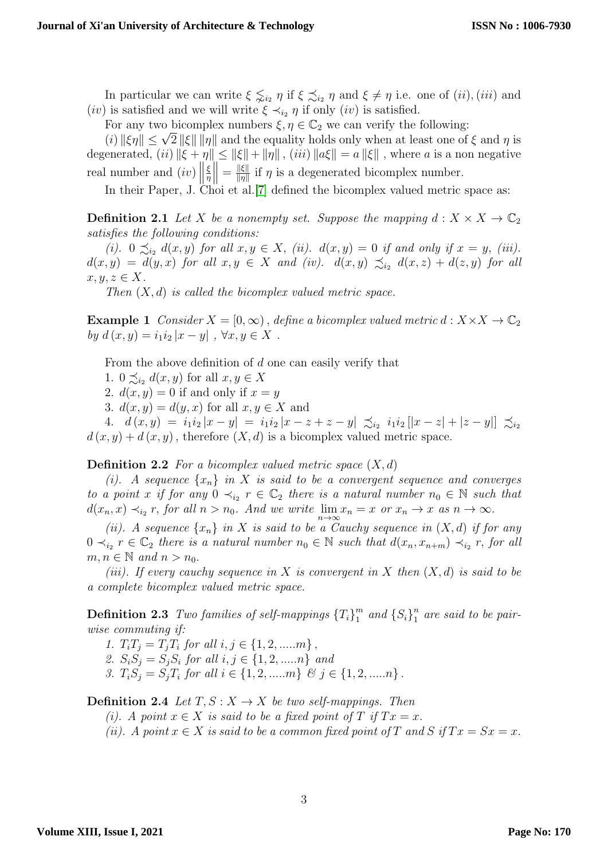In particular we can write  $\xi \precsim_{i_2} \eta$  if  $\xi \precsim_{i_2} \eta$  and  $\xi \neq \eta$  i.e. one of  $(ii)$ ,  $(iii)$  and (*iv*) is satisfied and we will write  $\xi \prec_{i_2} \eta$  if only (*iv*) is satisfied.

For any two bicomplex numbers  $\xi, \eta \in \mathbb{C}_2$  we can verify the following:

For any two bicomplex numbers  $\xi, \eta \in \mathbb{C}_2$  we can verity the following:<br>  $(i)$   $\|\xi\eta\| \leq \sqrt{2}$   $\|\xi\|$   $\|\eta\|$  and the equality holds only when at least one of  $\xi$  and  $\eta$  is degenerated, (ii)  $\|\xi + \eta\| \leq \|\xi\| + \|\eta\|$ , (iii)  $\|a\xi\| = a \|\xi\|$ , where a is a non negative real number and  $(iv)$ ξ η  $\Big\| = \frac{\|\xi\|}{\|\eta\|}$  $\frac{\| \xi \|}{\| \eta \|}$  if  $\eta$  is a degenerated bicomplex number.

In their Paper, J. Choi et al.<sup>[\[7\]](#page-8-1)</sup> defined the bicomplex valued metric space as:

**Definition 2.1** Let X be a nonempty set. Suppose the mapping  $d: X \times X \to \mathbb{C}_2$ satisfies the following conditions:

(i).  $0 \preceq_{i_2} d(x, y)$  for all  $x, y \in X$ , (ii).  $d(x, y) = 0$  if and only if  $x = y$ , (iii).  $d(x, y) = d(y, x)$  for all  $x, y \in X$  and (iv).  $d(x, y) \precsim_{i_2} d(x, z) + d(z, y)$  for all  $x, y, z \in X$ .

Then  $(X, d)$  is called the bicomplex valued metric space.

**Example 1** Consider  $X = [0, \infty)$ , define a bicomplex valued metric  $d : X \times X \to \mathbb{C}_2$ by  $d(x, y) = i_1 i_2 |x - y|$ ,  $\forall x, y \in X$ .

From the above definition of d one can easily verify that

1.  $0 \preceq_{i_2} d(x, y)$  for all  $x, y \in X$ 

2.  $d(x, y) = 0$  if and only if  $x = y$ 

3.  $d(x, y) = d(y, x)$  for all  $x, y \in X$  and

4.  $d(x,y) = i_1 i_2 |x-y| = i_1 i_2 |x-z+z-y| \precsim_{i_2} i_1 i_2 [|x-z|+|z-y|] \precsim_{i_2}$  $d(x, y) + d(x, y)$ , therefore  $(X, d)$  is a bicomplex valued metric space.

#### **Definition 2.2** For a bicomplex valued metric space  $(X, d)$

(i). A sequence  $\{x_n\}$  in X is said to be a convergent sequence and converges to a point x if for any  $0 \prec_{i_2} r \in \mathbb{C}_2$  there is a natural number  $n_0 \in \mathbb{N}$  such that  $d(x_n, x) \prec_{i_2} r$ , for all  $n > n_0$ . And we write  $\lim_{n \to \infty} x_n = x$  or  $x_n \to x$  as  $n \to \infty$ .

(ii). A sequence  $\{x_n\}$  in X is said to be a Cauchy sequence in  $(X, d)$  if for any  $0 \prec_{i_2} r \in \mathbb{C}_2$  there is a natural number  $n_0 \in \mathbb{N}$  such that  $d(x_n, x_{n+m}) \prec_{i_2} r$ , for all  $m, n \in \mathbb{N}$  and  $n > n_0$ .

(iii). If every cauchy sequence in X is convergent in X then  $(X,d)$  is said to be a complete bicomplex valued metric space.

**Definition 2.3** Two families of self-mappings  ${T_i}_1^m$  $\binom{m}{1}$  and  $\{S_i\}_1^n$  $\frac{n}{1}$  are said to be pairwise commuting if:

1.  $T_i T_j = T_j T_i$  for all  $i, j \in \{1, 2, \dots m\}$ ,

2.  $S_i S_j = S_j S_i$  for all  $i, j \in \{1, 2, \dots n\}$  and

3.  $T_iS_j = S_jT_i$  for all  $i \in \{1, 2, \dots, m\}$  &  $j \in \{1, 2, \dots, n\}$ .

**Definition 2.4** Let  $T, S: X \rightarrow X$  be two self-mappings. Then

(i). A point  $x \in X$  is said to be a fixed point of T if  $Tx = x$ .

(ii). A point  $x \in X$  is said to be a common fixed point of T and S if  $Tx = Sx = x$ .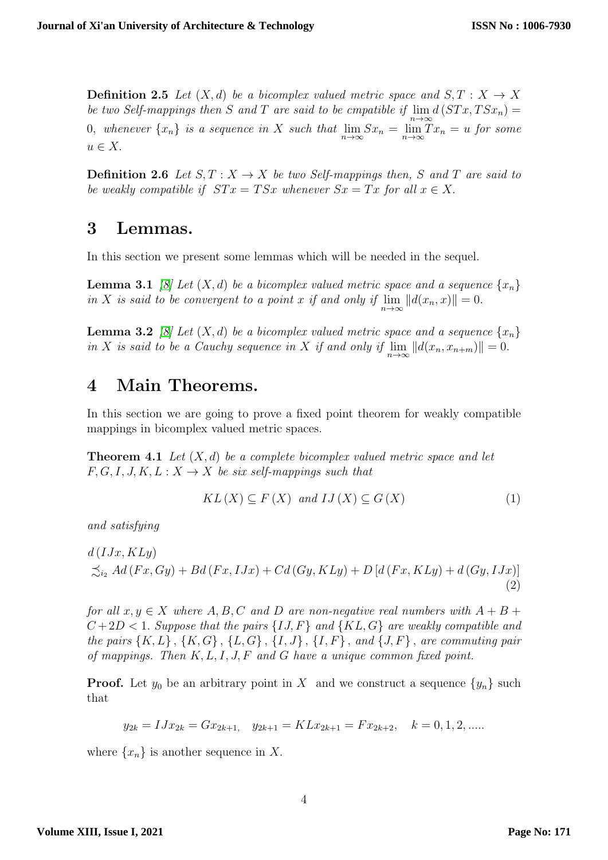**Definition 2.5** Let  $(X,d)$  be a bicomplex valued metric space and  $S, T : X \rightarrow X$ be two Self-mappings then S and T are said to be cmpatible if  $\lim_{n\to\infty} d(STx, TSx_n) =$ 0, whenever  $\{x_n\}$  is a sequence in X such that  $\lim_{n\to\infty} S x_n = \lim_{n\to\infty} T x_n = u$  for some  $u \in X$ .

**Definition 2.6** Let  $S, T : X \to X$  be two Self-mappings then, S and T are said to be weakly compatible if  $STx = TSx$  whenever  $Sx = Tx$  for all  $x \in X$ .

### 3 Lemmas.

In this section we present some lemmas which will be needed in the sequel.

**Lemma 3.1** [\[8\]](#page-8-2) Let  $(X, d)$  be a bicomplex valued metric space and a sequence  $\{x_n\}$ in X is said to be convergent to a point x if and only if  $\lim_{n\to\infty} ||d(x_n,x)|| = 0$ .

**Lemma 3.2** [\[8\]](#page-8-2) Let  $(X, d)$  be a bicomplex valued metric space and a sequence  $\{x_n\}$ in X is said to be a Cauchy sequence in X if and only if  $\lim_{n\to\infty} ||d(x_n, x_{n+m})|| = 0.$ 

### 4 Main Theorems.

In this section we are going to prove a fixed point theorem for weakly compatible mappings in bicomplex valued metric spaces.

<span id="page-3-2"></span>**Theorem 4.1** Let  $(X, d)$  be a complete bicomplex valued metric space and let  $F, G, I, J, K, L: X \rightarrow X$  be six self-mappings such that

<span id="page-3-1"></span><span id="page-3-0"></span>
$$
KL(X) \subseteq F(X) \text{ and } LJ(X) \subseteq G(X) \tag{1}
$$

and satisfying

$$
d(IJx, KLy)
$$
  

$$
\precsim_{i_2} Ad(Fx, Gy) + Bd(Fx, IJx) + Cd(Gy, KLy) + D[d(Fx, KLy) + d(Gy, IJx)]
$$
  
(2)

for all  $x, y \in X$  where  $A, B, C$  and  $D$  are non-negative real numbers with  $A + B +$  $C+2D < 1$ . Suppose that the pairs  $\{IJ, F\}$  and  $\{KL, G\}$  are weakly compatible and the pairs  $\{K, L\}$ ,  $\{K, G\}$ ,  $\{L, G\}$ ,  $\{I, J\}$ ,  $\{I, F\}$ , and  $\{J, F\}$ , are commuting pair of mappings. Then  $K, L, I, J, F$  and  $G$  have a unique common fixed point.

**Proof.** Let  $y_0$  be an arbitrary point in X and we construct a sequence  $\{y_n\}$  such that

$$
y_{2k} = IJx_{2k} = Gx_{2k+1}, \quad y_{2k+1} = KLx_{2k+1} = Fx_{2k+2}, \quad k = 0, 1, 2, \dots
$$

where  $\{x_n\}$  is another sequence in X.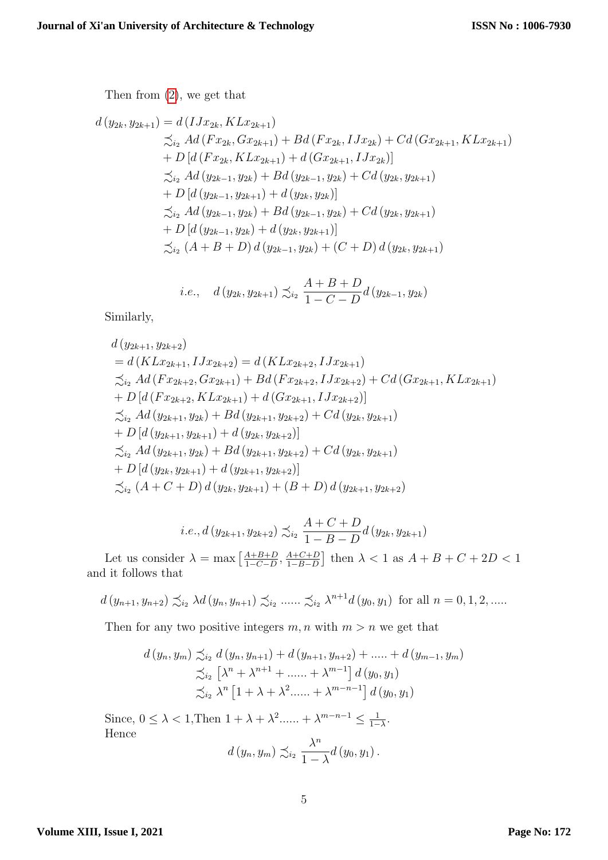Then from [\(2\)](#page-3-0), we get that

$$
d(y_{2k}, y_{2k+1}) = d(IJx_{2k}, KLx_{2k+1})
$$
  
\n
$$
\preceq_{i_2} Ad(Fx_{2k}, Gx_{2k+1}) + Bd(Fx_{2k}, IJx_{2k}) + Cd(Gx_{2k+1}, KLx_{2k+1})
$$
  
\n
$$
+ D[d(Fx_{2k}, KLx_{2k+1}) + d(Gx_{2k+1}, IJx_{2k})]
$$
  
\n
$$
\preceq_{i_2} Ad(y_{2k-1}, y_{2k}) + Bd(y_{2k-1}, y_{2k}) + Cd(y_{2k}, y_{2k+1})
$$
  
\n
$$
+ D[d(y_{2k-1}, y_{2k+1}) + d(y_{2k}, y_{2k})]
$$
  
\n
$$
\preceq_{i_2} Ad(y_{2k-1}, y_{2k}) + Bd(y_{2k-1}, y_{2k}) + Cd(y_{2k}, y_{2k+1})
$$
  
\n
$$
+ D[d(y_{2k-1}, y_{2k}) + d(y_{2k}, y_{2k+1})]
$$
  
\n
$$
\preceq_{i_2} (A + B + D) d(y_{2k-1}, y_{2k}) + (C + D) d(y_{2k}, y_{2k+1})
$$

i.e., 
$$
d(y_{2k}, y_{2k+1}) \preceq_{i_2} \frac{A+B+D}{1-C-D} d(y_{2k-1}, y_{2k})
$$

Similarly,

$$
d(y_{2k+1}, y_{2k+2})
$$
  
=  $d(KLx_{2k+1}, IJx_{2k+2}) = d(KLx_{2k+2}, IJx_{2k+1})$   
 $\preceq_{i_2} Ad(Fx_{2k+2}, Gx_{2k+1}) + Bd(Fx_{2k+2}, IJx_{2k+2}) + Cd(Gx_{2k+1}, KLx_{2k+1})$   
+  $D[d(Fx_{2k+2}, KLx_{2k+1}) + d(Gx_{2k+1}, IJx_{2k+2})]$   
 $\preceq_{i_2} Ad(y_{2k+1}, y_{2k}) + Bd(y_{2k+1}, y_{2k+2}) + Cd(y_{2k}, y_{2k+1})$   
+  $D[d(y_{2k+1}, y_{2k+1}) + d(y_{2k}, y_{2k+2})]$   
 $\preceq_{i_2} Ad(y_{2k+1}, y_{2k}) + Bd(y_{2k+1}, y_{2k+2}) + Cd(y_{2k}, y_{2k+1})$   
+  $D[d(y_{2k}, y_{2k+1}) + d(y_{2k+1}, y_{2k+2})]$   
 $\preceq_{i_2} (A + C + D) d(y_{2k}, y_{2k+1}) + (B + D) d(y_{2k+1}, y_{2k+2})$ 

i.e., 
$$
d(y_{2k+1}, y_{2k+2}) \preceq_{i_2} \frac{A+C+D}{1-B-D} d(y_{2k}, y_{2k+1})
$$

Let us consider  $\lambda = \max \left[ \frac{A+B+D}{1-C-D} \right]$  $\frac{A+B+D}{1-C-D}, \frac{A+C+D}{1-B-D}$  $\frac{A+C+D}{1-B-D}$  then  $\lambda < 1$  as  $A+B+C+2D < 1$ and it follows that

$$
d(y_{n+1}, y_{n+2}) \preceq_{i_2} \lambda d(y_n, y_{n+1}) \preceq_{i_2} \ldots \preceq_{i_2} \lambda^{n+1} d(y_0, y_1)
$$
 for all  $n = 0, 1, 2, \ldots$ 

Then for any two positive integers  $m, n$  with  $m > n$  we get that

$$
d(y_n, y_m) \preceq_{i_2} d(y_n, y_{n+1}) + d(y_{n+1}, y_{n+2}) + \dots + d(y_{m-1}, y_m)
$$
  

$$
\preceq_{i_2} \left[ \lambda^n + \lambda^{n+1} + \dots + \lambda^{m-1} \right] d(y_0, y_1)
$$
  

$$
\preceq_{i_2} \lambda^n \left[ 1 + \lambda + \lambda^2 + \dots + \lambda^{m-n-1} \right] d(y_0, y_1)
$$

Since,  $0 \leq \lambda < 1$ , Then  $1 + \lambda + \lambda^2$ ...... +  $\lambda^{m-n-1} \leq \frac{1}{1-\lambda}$  $\frac{1}{1-\lambda}$ . Hence  $\lambda^n$ 

$$
d(y_n, y_m) \precsim_{i_2} \frac{\lambda^n}{1-\lambda} d(y_0, y_1).
$$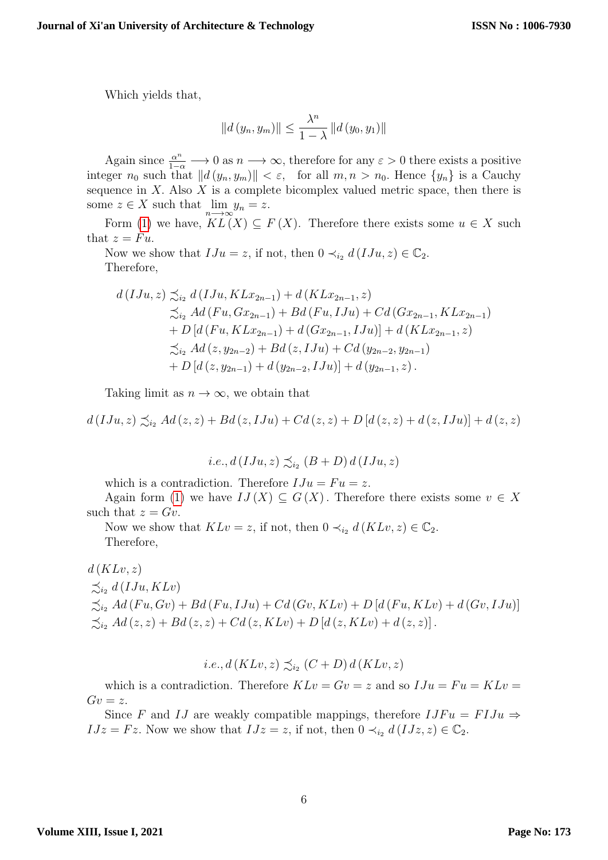Which yields that,

$$
||d (y_n, y_m)|| \leq \frac{\lambda^n}{1 - \lambda} ||d (y_0, y_1)||
$$

Again since  $\frac{\alpha^n}{1-\alpha} \longrightarrow 0$  as  $n \longrightarrow \infty$ , therefore for any  $\varepsilon > 0$  there exists a positive integer  $n_0$  such that  $||d(y_n, y_m)|| < \varepsilon$ , for all  $m, n > n_0$ . Hence  $\{y_n\}$  is a Cauchy sequence in  $X$ . Also  $X$  is a complete bicomplex valued metric space, then there is some  $z \in X$  such that  $\lim_{n \to \infty} y_n = z$ .

Form [\(1\)](#page-3-1) we have,  $KL(X) \subseteq F(X)$ . Therefore there exists some  $u \in X$  such that  $z = Fu$ .

Now we show that  $IJu = z$ , if not, then  $0 \prec_{i_2} d(IJu, z) \in \mathbb{C}_2$ . Therefore,

$$
d(IJu, z) \preceq_{i_2} d(IJu, KLx_{2n-1}) + d(KLx_{2n-1}, z)
$$
  
\n
$$
\preceq_{i_2} Ad(Fu, Gx_{2n-1}) + Bd(Fu, IJu) + Cd(Gx_{2n-1}, KLx_{2n-1})
$$
  
\n
$$
+ D[d(Fu, KLx_{2n-1}) + d(Gx_{2n-1}, IJu)] + d(KLx_{2n-1}, z)
$$
  
\n
$$
\preceq_{i_2} Ad(z, y_{2n-2}) + Bd(z, IJu) + Cd(y_{2n-2}, y_{2n-1})
$$
  
\n
$$
+ D[d(z, y_{2n-1}) + d(y_{2n-2}, IJu)] + d(y_{2n-1}, z).
$$

Taking limit as  $n \to \infty$ , we obtain that

 $d(IJu, z) \preceq_{iv} Ad(z, z) + Bd(z, IJu) + Cd(z, z) + D[d(z, z) + d(z, IJu)] + d(z, z)$ 

i.e., 
$$
d(IJu, z) \preceq_{i_2} (B+D) d(IJu, z)
$$

which is a contradiction. Therefore  $IJu = Fu = z$ .

Again form [\(1\)](#page-3-1) we have  $IJ(X) \subseteq G(X)$ . Therefore there exists some  $v \in X$ such that  $z = Gv$ .

Now we show that  $KLv = z$ , if not, then  $0 \prec_{i_2} d(KLv, z) \in \mathbb{C}_2$ . Therefore,

 $d(KLv, z)$  $\preceq_{i_2} d(IJu, KLv)$  $\precsim_{i_2} Ad (Fu, Gv) + Bd (Fu, IJu) + Cd (Gv, KLv) + D [d (Fu, KLv) + d (Gv, IJu)]$  $\precsim_{i_2} Ad(z, z) + Bd(z, z) + Cd(z, KLv) + D [d(z, KLv) + d(z, z)].$ 

$$
i.e., d(KLv, z) \preceq_{i_2} (C+D) d(KLv, z)
$$

which is a contradiction. Therefore  $KLv = Gv = z$  and so  $IJu = Fu = KLv$  $Gv = z$ .

Since F and IJ are weakly compatible mappings, therefore  $IJFu = FIJu \Rightarrow$  $IJz = Fz$ . Now we show that  $IJz = z$ , if not, then  $0 \prec_{i_2} d(IJz, z) \in \mathbb{C}_2$ .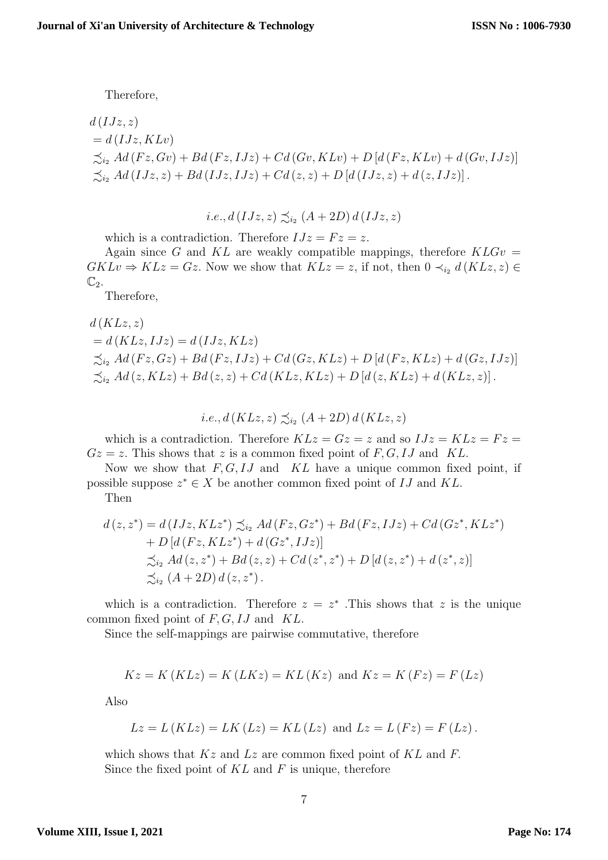Therefore,

$$
d(IJz, z)
$$
  
=  $d(IJz, KLv)$   

$$
\precsim_{i_2} Ad(Fz, Gv) + Bd(Fz, IJz) + Cd(Gv, KLv) + D[d(Fz, KLv) + d(Gv, IJz)]
$$
  

$$
\precsim_{i_2} Ad(IJz, z) + Bd(IJz, IJz) + Cd(z, z) + D[d(IJz, z) + d(z, IJz)].
$$

$$
i.e., d(IJz, z) \precsim_{i_2} (A + 2D) d(IJz, z)
$$

which is a contradiction. Therefore  $IJz = Fz = z$ .

Again since G and KL are weakly compatible mappings, therefore  $KLGv =$  $GKLv \Rightarrow KLz = Gz$ . Now we show that  $KLz = z$ , if not, then  $0 \prec_{i_2} d(KLz, z) \in$  $\mathbb{C}_2$ .

Therefore,

$$
d(KLz, z)
$$
  
=  $d(KLz, IJz) = d(IJz, KLz)$   

$$
\precsim_{i_2} Ad(Fz, Gz) + Bd(Fz, IJz) + Cd(Gz, KLz) + D[d(Fz, KLz) + d(Gz, IJz)]
$$
  

$$
\precsim_{i_2} Ad(z, KLz) + Bd(z, z) + Cd(KLz, KLz) + D[d(z, KLz) + d(KLz, z)].
$$

$$
i.e., d(KLz, z) \precsim_{i_2} (A+2D) d(KLz, z)
$$

which is a contradiction. Therefore  $KLz = Gz = z$  and so  $IJz = KLz = Fz$  $Gz = z$ . This shows that z is a common fixed point of F, G, IJ and KL.

Now we show that  $F, G, IJ$  and  $KL$  have a unique common fixed point, if possible suppose  $z^* \in X$  be another common fixed point of IJ and KL.

Then

$$
d(z, z^*) = d(IJz, KLz^*) \preceq_{i_2} Ad(Fz, Gz^*) + Bd(Fz, IJz) + Cd(Gz^*, KLz^*) + D[d(Fz, KLz^*) + d(Gz^*, IJz)] \n\preceq_{i_2} Ad(z, z^*) + Bd(z, z) + Cd(z^*, z^*) + D[d(z, z^*) + d(z^*, z)] \n\preceq_{i_2} (A + 2D) d(z, z^*).
$$

which is a contradiction. Therefore  $z = z^*$ . This shows that z is the unique common fixed point of  $F, G, IJ$  and  $KL$ .

Since the self-mappings are pairwise commutative, therefore

$$
Kz = K(KLz) = K(LKz) = KL(Kz)
$$
 and  $Kz = K(Fz) = F(Lz)$ 

Also

$$
Lz = L(KLz) = LK(Lz) = KL(Lz) \text{ and } Lz = L(Fz) = F(Lz).
$$

which shows that  $Kz$  and  $Lz$  are common fixed point of  $KL$  and  $F$ . Since the fixed point of  $KL$  and  $F$  is unique, therefore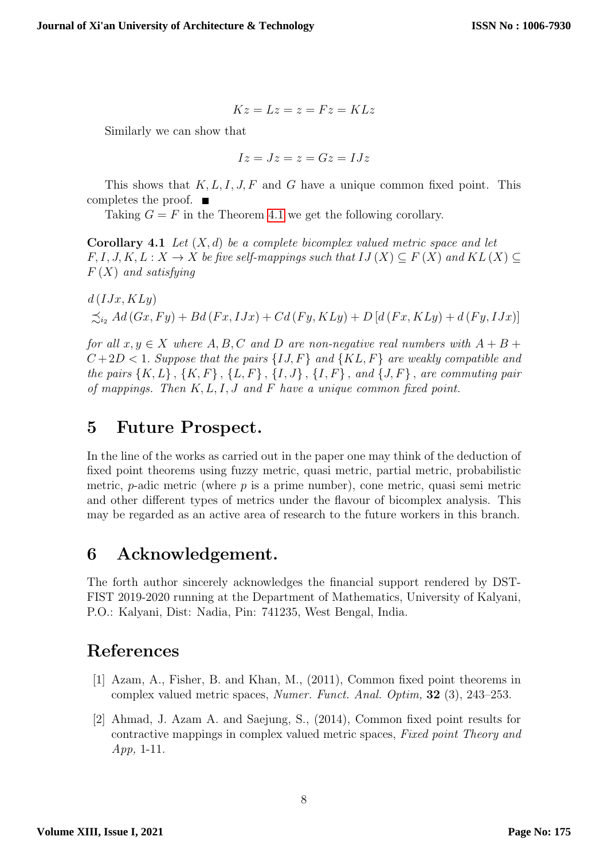$$
Kz=Lz=z=Fz=KLz
$$

Similarly we can show that

$$
Iz = Jz = z = Gz = IJz
$$

This shows that  $K, L, I, J, F$  and G have a unique common fixed point. This completes the proof.  $\blacksquare$ 

Taking  $G = F$  in the Theorem 4.[1](#page-3-2) we get the following corollary.

**Corollary 4.1** Let  $(X,d)$  be a complete bicomplex valued metric space and let  $F, I, J, K, L: X \to X$  be five self-mappings such that  $IJ(X) \subseteq F(X)$  and  $KL(X) \subseteq$  $F(X)$  and satisfying

 $d(IJx, KLy)$  $\preceq_{i_2} Ad(Gx, Fy) + Bd(Fx, IJx) + Cd(Fy, KLy) + D[d(Fx, KLy) + d(Fy, IJx)]$ 

for all  $x, y \in X$  where  $A, B, C$  and  $D$  are non-negative real numbers with  $A + B +$  $C+2D < 1$ . Suppose that the pairs  $\{IJ, F\}$  and  $\{KL, F\}$  are weakly compatible and the pairs  $\{K, L\}$ ,  $\{K, F\}$ ,  $\{L, F\}$ ,  $\{I, J\}$ ,  $\{I, F\}$ , and  $\{J, F\}$ , are commuting pair of mappings. Then  $K, L, I, J$  and  $F$  have a unique common fixed point.

## 5 Future Prospect.

In the line of the works as carried out in the paper one may think of the deduction of fixed point theorems using fuzzy metric, quasi metric, partial metric, probabilistic metric, *p*-adic metric (where  $p$  is a prime number), cone metric, quasi semi metric and other different types of metrics under the flavour of bicomplex analysis. This may be regarded as an active area of research to the future workers in this branch.

## 6 Acknowledgement.

The forth author sincerely acknowledges the financial support rendered by DST-FIST 2019-2020 running at the Department of Mathematics, University of Kalyani, P.O.: Kalyani, Dist: Nadia, Pin: 741235, West Bengal, India.

## References

- <span id="page-7-0"></span>[1] Azam, A., Fisher, B. and Khan, M., (2011), Common fixed point theorems in complex valued metric spaces, Numer. Funct. Anal. Optim, 32 (3), 243–253.
- <span id="page-7-1"></span>[2] Ahmad, J. Azam A. and Saejung, S., (2014), Common fixed point results for contractive mappings in complex valued metric spaces, Fixed point Theory and App, 1-11.